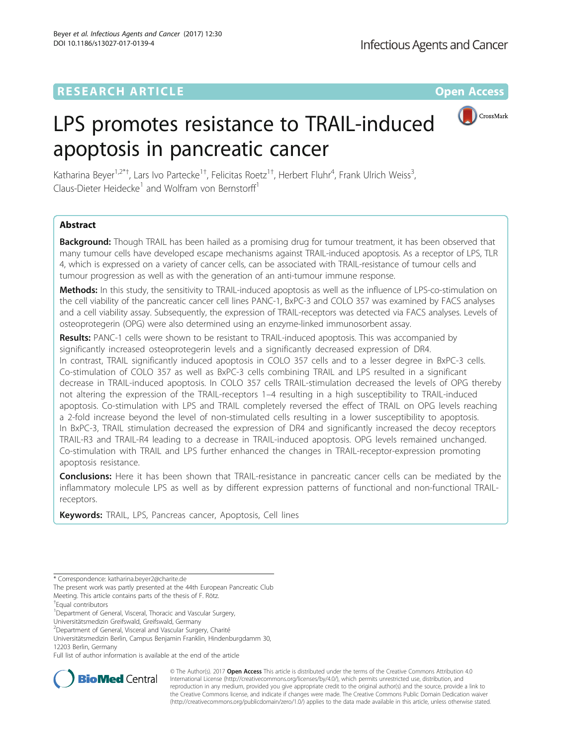## **RESEARCH ARTICLE Example 2014 12:30 The Contract of Contract ACCESS**



# LPS promotes resistance to TRAIL-induced apoptosis in pancreatic cancer

Katharina Beyer<sup>1,2\*†</sup>, Lars Ivo Partecke<sup>1†</sup>, Felicitas Roetz<sup>1†</sup>, Herbert Fluhr<sup>4</sup>, Frank Ulrich Weiss<sup>3</sup> , Claus-Dieter Heidecke<sup>1</sup> and Wolfram von Bernstorff<sup>1</sup>

## Abstract

Background: Though TRAIL has been hailed as a promising drug for tumour treatment, it has been observed that many tumour cells have developed escape mechanisms against TRAIL-induced apoptosis. As a receptor of LPS, TLR 4, which is expressed on a variety of cancer cells, can be associated with TRAIL-resistance of tumour cells and tumour progression as well as with the generation of an anti-tumour immune response.

Methods: In this study, the sensitivity to TRAIL-induced apoptosis as well as the influence of LPS-co-stimulation on the cell viability of the pancreatic cancer cell lines PANC-1, BxPC-3 and COLO 357 was examined by FACS analyses and a cell viability assay. Subsequently, the expression of TRAIL-receptors was detected via FACS analyses. Levels of osteoprotegerin (OPG) were also determined using an enzyme-linked immunosorbent assay.

Results: PANC-1 cells were shown to be resistant to TRAIL-induced apoptosis. This was accompanied by significantly increased osteoprotegerin levels and a significantly decreased expression of DR4. In contrast, TRAIL significantly induced apoptosis in COLO 357 cells and to a lesser degree in BxPC-3 cells. Co-stimulation of COLO 357 as well as BxPC-3 cells combining TRAIL and LPS resulted in a significant decrease in TRAIL-induced apoptosis. In COLO 357 cells TRAIL-stimulation decreased the levels of OPG thereby not altering the expression of the TRAIL-receptors 1–4 resulting in a high susceptibility to TRAIL-induced apoptosis. Co-stimulation with LPS and TRAIL completely reversed the effect of TRAIL on OPG levels reaching a 2-fold increase beyond the level of non-stimulated cells resulting in a lower susceptibility to apoptosis. In BxPC-3, TRAIL stimulation decreased the expression of DR4 and significantly increased the decoy receptors TRAIL-R3 and TRAIL-R4 leading to a decrease in TRAIL-induced apoptosis. OPG levels remained unchanged. Co-stimulation with TRAIL and LPS further enhanced the changes in TRAIL-receptor-expression promoting apoptosis resistance.

**Conclusions:** Here it has been shown that TRAIL-resistance in pancreatic cancer cells can be mediated by the inflammatory molecule LPS as well as by different expression patterns of functional and non-functional TRAILreceptors.

Keywords: TRAIL, LPS, Pancreas cancer, Apoptosis, Cell lines

Full list of author information is available at the end of the article



© The Author(s). 2017 **Open Access** This article is distributed under the terms of the Creative Commons Attribution 4.0 International License [\(http://creativecommons.org/licenses/by/4.0/](http://creativecommons.org/licenses/by/4.0/)), which permits unrestricted use, distribution, and reproduction in any medium, provided you give appropriate credit to the original author(s) and the source, provide a link to the Creative Commons license, and indicate if changes were made. The Creative Commons Public Domain Dedication waiver [\(http://creativecommons.org/publicdomain/zero/1.0/](http://creativecommons.org/publicdomain/zero/1.0/)) applies to the data made available in this article, unless otherwise stated.

<sup>\*</sup> Correspondence: [katharina.beyer2@charite.de](mailto:katharina.beyer2@charite.de)

The present work was partly presented at the 44th European Pancreatic Club Meeting. This article contains parts of the thesis of F. Rötz.

<sup>†</sup> Equal contributors

<sup>&</sup>lt;sup>1</sup>Department of General, Visceral, Thoracic and Vascular Surgery,

Universitätsmedizin Greifswald, Greifswald, Germany

<sup>2</sup> Department of General, Visceral and Vascular Surgery, Charité

Universitätsmedizin Berlin, Campus Benjamin Franklin, Hindenburgdamm 30, 12203 Berlin, Germany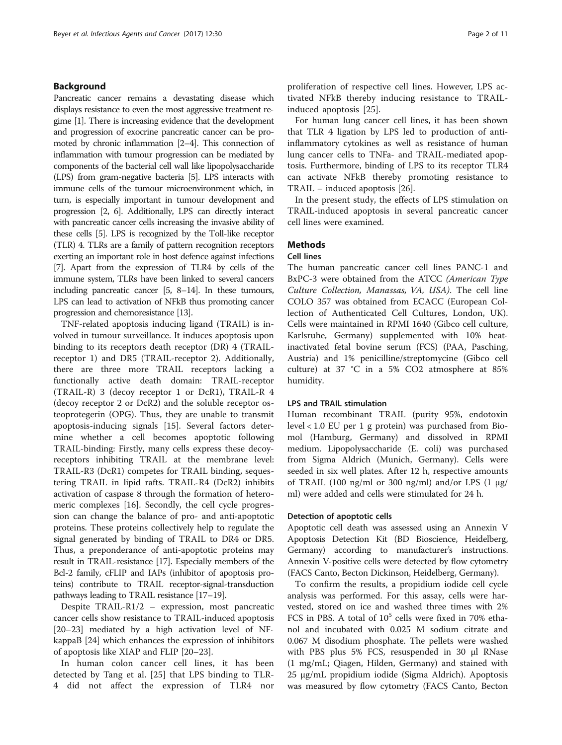## Background

Pancreatic cancer remains a devastating disease which displays resistance to even the most aggressive treatment regime [\[1](#page-9-0)]. There is increasing evidence that the development and progression of exocrine pancreatic cancer can be promoted by chronic inflammation [[2](#page-9-0)–[4\]](#page-9-0). This connection of inflammation with tumour progression can be mediated by components of the bacterial cell wall like lipopolysaccharide (LPS) from gram-negative bacteria [\[5](#page-9-0)]. LPS interacts with immune cells of the tumour microenvironment which, in turn, is especially important in tumour development and progression [\[2, 6](#page-9-0)]. Additionally, LPS can directly interact with pancreatic cancer cells increasing the invasive ability of these cells [\[5\]](#page-9-0). LPS is recognized by the Toll-like receptor (TLR) 4. TLRs are a family of pattern recognition receptors exerting an important role in host defence against infections [[7](#page-9-0)]. Apart from the expression of TLR4 by cells of the immune system, TLRs have been linked to several cancers including pancreatic cancer [[5](#page-9-0), [8](#page-9-0)–[14](#page-9-0)]. In these tumours, LPS can lead to activation of NFkB thus promoting cancer progression and chemoresistance [\[13\]](#page-9-0).

TNF-related apoptosis inducing ligand (TRAIL) is involved in tumour surveillance. It induces apoptosis upon binding to its receptors death receptor (DR) 4 (TRAILreceptor 1) and DR5 (TRAIL-receptor 2). Additionally, there are three more TRAIL receptors lacking a functionally active death domain: TRAIL-receptor (TRAIL-R) 3 (decoy receptor 1 or DcR1), TRAIL-R 4 (decoy receptor 2 or DcR2) and the soluble receptor osteoprotegerin (OPG). Thus, they are unable to transmit apoptosis-inducing signals [[15\]](#page-9-0). Several factors determine whether a cell becomes apoptotic following TRAIL-binding: Firstly, many cells express these decoyreceptors inhibiting TRAIL at the membrane level: TRAIL-R3 (DcR1) competes for TRAIL binding, sequestering TRAIL in lipid rafts. TRAIL-R4 (DcR2) inhibits activation of caspase 8 through the formation of heteromeric complexes [\[16](#page-9-0)]. Secondly, the cell cycle progression can change the balance of pro- and anti-apoptotic proteins. These proteins collectively help to regulate the signal generated by binding of TRAIL to DR4 or DR5. Thus, a preponderance of anti-apoptotic proteins may result in TRAIL-resistance [\[17\]](#page-9-0). Especially members of the Bcl-2 family, cFLIP and IAPs (inhibitor of apoptosis proteins) contribute to TRAIL receptor-signal-transduction pathways leading to TRAIL resistance [[17](#page-9-0)–[19](#page-9-0)].

Despite TRAIL-R1/2 – expression, most pancreatic cancer cells show resistance to TRAIL-induced apoptosis [[20](#page-9-0)–[23](#page-9-0)] mediated by a high activation level of NFkappaB [[24\]](#page-9-0) which enhances the expression of inhibitors of apoptosis like XIAP and FLIP [\[20](#page-9-0)–[23\]](#page-9-0).

In human colon cancer cell lines, it has been detected by Tang et al. [[25\]](#page-9-0) that LPS binding to TLR-4 did not affect the expression of TLR4 nor proliferation of respective cell lines. However, LPS activated NFkB thereby inducing resistance to TRAILinduced apoptosis [\[25](#page-9-0)].

For human lung cancer cell lines, it has been shown that TLR 4 ligation by LPS led to production of antiinflammatory cytokines as well as resistance of human lung cancer cells to TNFa- and TRAIL-mediated apoptosis. Furthermore, binding of LPS to its receptor TLR4 can activate NFkB thereby promoting resistance to TRAIL – induced apoptosis [\[26\]](#page-9-0).

In the present study, the effects of LPS stimulation on TRAIL-induced apoptosis in several pancreatic cancer cell lines were examined.

## **Methods**

## Cell lines

The human pancreatic cancer cell lines PANC-1 and BxPC-3 were obtained from the ATCC (American Type Culture Collection, Manassas, VA, USA). The cell line COLO 357 was obtained from ECACC (European Collection of Authenticated Cell Cultures, London, UK). Cells were maintained in RPMI 1640 (Gibco cell culture, Karlsruhe, Germany) supplemented with 10% heatinactivated fetal bovine serum (FCS) (PAA, Pasching, Austria) and 1% penicilline/streptomycine (Gibco cell culture) at 37 °C in a 5% CO2 atmosphere at 85% humidity.

## LPS and TRAIL stimulation

Human recombinant TRAIL (purity 95%, endotoxin level < 1.0 EU per 1 g protein) was purchased from Biomol (Hamburg, Germany) and dissolved in RPMI medium. Lipopolysaccharide (E. coli) was purchased from Sigma Aldrich (Munich, Germany). Cells were seeded in six well plates. After 12 h, respective amounts of TRAIL (100 ng/ml or 300 ng/ml) and/or LPS (1  $\mu$ g/ ml) were added and cells were stimulated for 24 h.

## Detection of apoptotic cells

Apoptotic cell death was assessed using an Annexin V Apoptosis Detection Kit (BD Bioscience, Heidelberg, Germany) according to manufacturer's instructions. Annexin V-positive cells were detected by flow cytometry (FACS Canto, Becton Dickinson, Heidelberg, Germany).

To confirm the results, a propidium iodide cell cycle analysis was performed. For this assay, cells were harvested, stored on ice and washed three times with 2% FCS in PBS. A total of  $10<sup>5</sup>$  cells were fixed in 70% ethanol and incubated with 0.025 M sodium citrate and 0.067 M disodium phosphate. The pellets were washed with PBS plus 5% FCS, resuspended in 30 μl RNase (1 mg/mL; Qiagen, Hilden, Germany) and stained with 25 μg/mL propidium iodide (Sigma Aldrich). Apoptosis was measured by flow cytometry (FACS Canto, Becton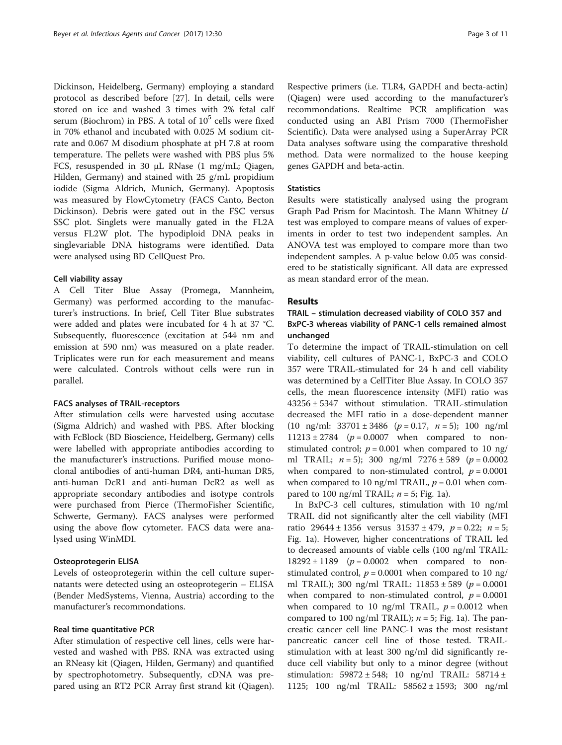Dickinson, Heidelberg, Germany) employing a standard protocol as described before [\[27\]](#page-9-0). In detail, cells were stored on ice and washed 3 times with 2% fetal calf serum (Biochrom) in PBS. A total of  $10^5$  cells were fixed in 70% ethanol and incubated with 0.025 M sodium citrate and 0.067 M disodium phosphate at pH 7.8 at room temperature. The pellets were washed with PBS plus 5% FCS, resuspended in 30 μL RNase (1 mg/mL; Qiagen, Hilden, Germany) and stained with 25 g/mL propidium iodide (Sigma Aldrich, Munich, Germany). Apoptosis was measured by FlowCytometry (FACS Canto, Becton Dickinson). Debris were gated out in the FSC versus SSC plot. Singlets were manually gated in the FL2A versus FL2W plot. The hypodiploid DNA peaks in singlevariable DNA histograms were identified. Data were analysed using BD CellQuest Pro.

## Cell viability assay

A Cell Titer Blue Assay (Promega, Mannheim, Germany) was performed according to the manufacturer's instructions. In brief, Cell Titer Blue substrates were added and plates were incubated for 4 h at 37 °C. Subsequently, fluorescence (excitation at 544 nm and emission at 590 nm) was measured on a plate reader. Triplicates were run for each measurement and means were calculated. Controls without cells were run in parallel.

#### FACS analyses of TRAIL-receptors

After stimulation cells were harvested using accutase (Sigma Aldrich) and washed with PBS. After blocking with FcBlock (BD Bioscience, Heidelberg, Germany) cells were labelled with appropriate antibodies according to the manufacturer's instructions. Purified mouse monoclonal antibodies of anti-human DR4, anti-human DR5, anti-human DcR1 and anti-human DcR2 as well as appropriate secondary antibodies and isotype controls were purchased from Pierce (ThermoFisher Scientific, Schwerte, Germany). FACS analyses were performed using the above flow cytometer. FACS data were analysed using WinMDI.

## Osteoprotegerin ELISA

Levels of osteoprotegerin within the cell culture supernatants were detected using an osteoprotegerin – ELISA (Bender MedSystems, Vienna, Austria) according to the manufacturer's recommondations.

## Real time quantitative PCR

After stimulation of respective cell lines, cells were harvested and washed with PBS. RNA was extracted using an RNeasy kit (Qiagen, Hilden, Germany) and quantified by spectrophotometry. Subsequently, cDNA was prepared using an RT2 PCR Array first strand kit (Qiagen). Respective primers (i.e. TLR4, GAPDH and becta-actin) (Qiagen) were used according to the manufacturer's recommondations. Realtime PCR amplification was conducted using an ABI Prism 7000 (ThermoFisher Scientific). Data were analysed using a SuperArray PCR Data analyses software using the comparative threshold method. Data were normalized to the house keeping genes GAPDH and beta-actin.

## **Statistics**

Results were statistically analysed using the program Graph Pad Prism for Macintosh. The Mann Whitney U test was employed to compare means of values of experiments in order to test two independent samples. An ANOVA test was employed to compare more than two independent samples. A p-value below 0.05 was considered to be statistically significant. All data are expressed as mean standard error of the mean.

## Results

## TRAIL – stimulation decreased viability of COLO 357 and BxPC-3 whereas viability of PANC-1 cells remained almost unchanged

To determine the impact of TRAIL-stimulation on cell viability, cell cultures of PANC-1, BxPC-3 and COLO 357 were TRAIL-stimulated for 24 h and cell viability was determined by a CellTiter Blue Assay. In COLO 357 cells, the mean fluorescence intensity (MFI) ratio was 43256 ± 5347 without stimulation. TRAIL-stimulation decreased the MFI ratio in a dose-dependent manner (10 ng/ml:  $33701 \pm 3486$  ( $p = 0.17$ ,  $n = 5$ ); 100 ng/ml  $11213 \pm 2784$  ( $p = 0.0007$  when compared to nonstimulated control;  $p = 0.001$  when compared to 10 ng/ ml TRAIL;  $n = 5$ ); 300 ng/ml 7276 ± 589 ( $p = 0.0002$ ) when compared to non-stimulated control,  $p = 0.0001$ when compared to 10 ng/ml TRAIL,  $p = 0.01$  when compared to 100 ng/ml TRAIL;  $n = 5$ ; Fig. [1a](#page-3-0)).

In BxPC-3 cell cultures, stimulation with 10 ng/ml TRAIL did not significantly alter the cell viability (MFI ratio 29644 ± 1356 versus  $31537 \pm 479$ ,  $p = 0.22$ ;  $n = 5$ ; Fig. [1a](#page-3-0)). However, higher concentrations of TRAIL led to decreased amounts of viable cells (100 ng/ml TRAIL:  $18292 \pm 1189$  ( $p = 0.0002$  when compared to nonstimulated control,  $p = 0.0001$  when compared to 10 ng/ ml TRAIL); 300 ng/ml TRAIL:  $11853 \pm 589$  ( $p = 0.0001$ ) when compared to non-stimulated control,  $p = 0.0001$ when compared to 10 ng/ml TRAIL,  $p = 0.0012$  when compared to 100 ng/ml TRAIL);  $n = 5$ ; Fig. [1a\)](#page-3-0). The pancreatic cancer cell line PANC-1 was the most resistant pancreatic cancer cell line of those tested. TRAILstimulation with at least 300 ng/ml did significantly reduce cell viability but only to a minor degree (without stimulation:  $59872 \pm 548$ ; 10 ng/ml TRAIL:  $58714 \pm$ 1125; 100 ng/ml TRAIL: 58562 ± 1593; 300 ng/ml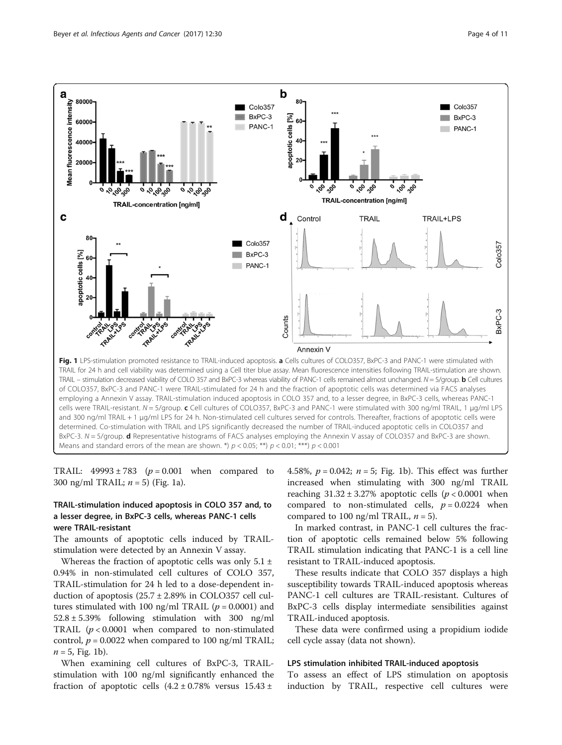<span id="page-3-0"></span>

TRAIL:  $49993 \pm 783$  ( $p = 0.001$  when compared to 300 ng/ml TRAIL;  $n = 5$ ) (Fig. 1a).

## TRAIL-stimulation induced apoptosis in COLO 357 and, to a lesser degree, in BxPC-3 cells, whereas PANC-1 cells were TRAIL-resistant

The amounts of apoptotic cells induced by TRAILstimulation were detected by an Annexin V assay.

Whereas the fraction of apoptotic cells was only  $5.1 \pm$ 0.94% in non-stimulated cell cultures of COLO 357, TRAIL-stimulation for 24 h led to a dose-dependent induction of apoptosis  $(25.7 \pm 2.89\%)$  in COLO357 cell cultures stimulated with 100 ng/ml TRAIL ( $p = 0.0001$ ) and  $52.8 \pm 5.39\%$  following stimulation with 300 ng/ml TRAIL ( $p < 0.0001$  when compared to non-stimulated control,  $p = 0.0022$  when compared to 100 ng/ml TRAIL;  $n = 5$ , Fig. 1b).

When examining cell cultures of BxPC-3, TRAILstimulation with 100 ng/ml significantly enhanced the fraction of apoptotic cells  $(4.2 \pm 0.78\%$  versus  $15.43 \pm 0.78\%$ 

4.58%,  $p = 0.042$ ;  $n = 5$ ; Fig. 1b). This effect was further increased when stimulating with 300 ng/ml TRAIL reaching  $31.32 \pm 3.27\%$  apoptotic cells ( $p < 0.0001$  when compared to non-stimulated cells,  $p = 0.0224$  when compared to 100 ng/ml TRAIL,  $n = 5$ ).

In marked contrast, in PANC-1 cell cultures the fraction of apoptotic cells remained below 5% following TRAIL stimulation indicating that PANC-1 is a cell line resistant to TRAIL-induced apoptosis.

These results indicate that COLO 357 displays a high susceptibility towards TRAIL-induced apoptosis whereas PANC-1 cell cultures are TRAIL-resistant. Cultures of BxPC-3 cells display intermediate sensibilities against TRAIL-induced apoptosis.

These data were confirmed using a propidium iodide cell cycle assay (data not shown).

#### LPS stimulation inhibited TRAIL-induced apoptosis

To assess an effect of LPS stimulation on apoptosis induction by TRAIL, respective cell cultures were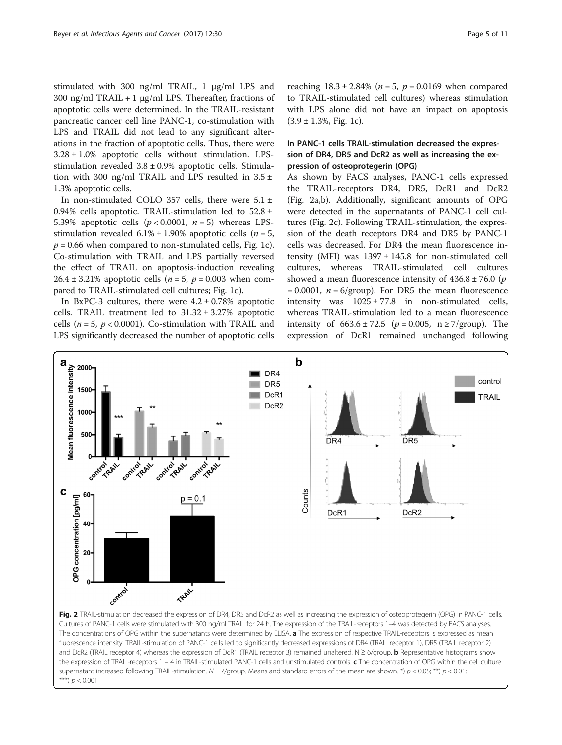<span id="page-4-0"></span>stimulated with 300 ng/ml TRAIL, 1 μg/ml LPS and 300 ng/ml TRAIL + 1  $\mu$ g/ml LPS. Thereafter, fractions of apoptotic cells were determined. In the TRAIL-resistant pancreatic cancer cell line PANC-1, co-stimulation with LPS and TRAIL did not lead to any significant alterations in the fraction of apoptotic cells. Thus, there were  $3.28 \pm 1.0$ % apoptotic cells without stimulation. LPSstimulation revealed  $3.8 \pm 0.9\%$  apoptotic cells. Stimulation with 300 ng/ml TRAIL and LPS resulted in  $3.5 \pm$ 1.3% apoptotic cells.

In non-stimulated COLO 357 cells, there were  $5.1 \pm$ 0.94% cells apoptotic. TRAIL-stimulation led to  $52.8 \pm$ 5.39% apoptotic cells  $(p < 0.0001, n = 5)$  whereas LPSstimulation revealed  $6.1\% \pm 1.90\%$  apoptotic cells (*n* = 5,  $p = 0.66$  when compared to non-stimulated cells, Fig. [1c](#page-3-0)). Co-stimulation with TRAIL and LPS partially reversed the effect of TRAIL on apoptosis-induction revealing 26.4 ± 3.21% apoptotic cells ( $n = 5$ ,  $p = 0.003$  when compared to TRAIL-stimulated cell cultures; Fig. [1c\)](#page-3-0).

In BxPC-3 cultures, there were  $4.2 \pm 0.78\%$  apoptotic cells. TRAIL treatment led to  $31.32 \pm 3.27$ % apoptotic cells ( $n = 5$ ,  $p < 0.0001$ ). Co-stimulation with TRAIL and LPS significantly decreased the number of apoptotic cells

## In PANC-1 cells TRAIL-stimulation decreased the expression of DR4, DR5 and DcR2 as well as increasing the expression of osteoprotegerin (OPG)

with LPS alone did not have an impact on apoptosis

 $(3.9 \pm 1.3\%,$  Fig. [1c](#page-3-0)).

As shown by FACS analyses, PANC-1 cells expressed the TRAIL-receptors DR4, DR5, DcR1 and DcR2 (Fig. 2a,b). Additionally, significant amounts of OPG were detected in the supernatants of PANC-1 cell cultures (Fig. 2c). Following TRAIL-stimulation, the expression of the death receptors DR4 and DR5 by PANC-1 cells was decreased. For DR4 the mean fluorescence intensity (MFI) was  $1397 \pm 145.8$  for non-stimulated cell cultures, whereas TRAIL-stimulated cell cultures showed a mean fluorescence intensity of  $436.8 \pm 76.0$  (p  $= 0.0001$ ,  $n = 6/$ group). For DR5 the mean fluorescence intensity was  $1025 \pm 77.8$  in non-stimulated cells, whereas TRAIL-stimulation led to a mean fluorescence intensity of  $663.6 \pm 72.5$  (*p* = 0.005, n ≥ 7/group). The expression of DcR1 remained unchanged following

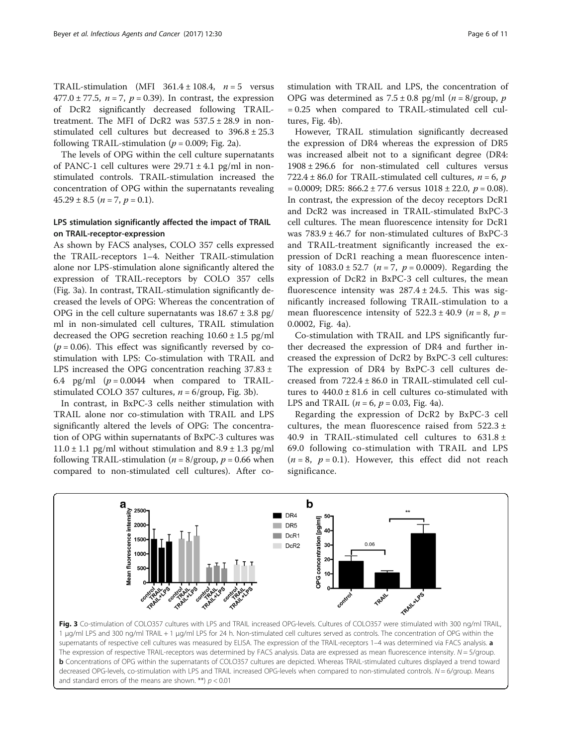TRAIL-stimulation (MFI  $361.4 \pm 108.4$ ,  $n = 5$  versus 477.0 ± 77.5,  $n = 7$ ,  $p = 0.39$ ). In contrast, the expression of DcR2 significantly decreased following TRAILtreatment. The MFI of DcR2 was  $537.5 \pm 28.9$  in nonstimulated cell cultures but decreased to 396.8 ± 25.3 following TRAIL-stimulation ( $p = 0.009$ ; Fig. [2a](#page-4-0)).

The levels of OPG within the cell culture supernatants of PANC-1 cell cultures were  $29.71 \pm 4.1$  pg/ml in nonstimulated controls. TRAIL-stimulation increased the concentration of OPG within the supernatants revealing  $45.29 \pm 8.5$   $(n = 7, p = 0.1)$ .

## LPS stimulation significantly affected the impact of TRAIL on TRAIL-receptor-expression

As shown by FACS analyses, COLO 357 cells expressed the TRAIL-receptors 1–4. Neither TRAIL-stimulation alone nor LPS-stimulation alone significantly altered the expression of TRAIL-receptors by COLO 357 cells (Fig. 3a). In contrast, TRAIL-stimulation significantly decreased the levels of OPG: Whereas the concentration of OPG in the cell culture supernatants was  $18.67 \pm 3.8$  pg/ ml in non-simulated cell cultures, TRAIL stimulation decreased the OPG secretion reaching  $10.60 \pm 1.5$  pg/ml  $(p = 0.06)$ . This effect was significantly reversed by costimulation with LPS: Co-stimulation with TRAIL and LPS increased the OPG concentration reaching 37.83 ± 6.4 pg/ml  $(p = 0.0044$  when compared to TRAILstimulated COLO 357 cultures,  $n = 6$ /group, Fig. 3b).

In contrast, in BxPC-3 cells neither stimulation with TRAIL alone nor co-stimulation with TRAIL and LPS significantly altered the levels of OPG: The concentration of OPG within supernatants of BxPC-3 cultures was  $11.0 \pm 1.1$  pg/ml without stimulation and  $8.9 \pm 1.3$  pg/ml following TRAIL-stimulation ( $n = 8$ /group,  $p = 0.66$  when compared to non-stimulated cell cultures). After costimulation with TRAIL and LPS, the concentration of OPG was determined as  $7.5 \pm 0.8$  pg/ml ( $n = 8$ /group,  $p$ ) = 0.25 when compared to TRAIL-stimulated cell cultures, Fig. [4b\)](#page-6-0).

However, TRAIL stimulation significantly decreased the expression of DR4 whereas the expression of DR5 was increased albeit not to a significant degree (DR4: 1908 ± 296.6 for non-stimulated cell cultures versus 722.4  $\pm$  86.0 for TRAIL-stimulated cell cultures,  $n = 6$ , p  $= 0.0009$ ; DR5:  $866.2 \pm 77.6$  versus  $1018 \pm 22.0$ ,  $p = 0.08$ ). In contrast, the expression of the decoy receptors DcR1 and DcR2 was increased in TRAIL-stimulated BxPC-3 cell cultures. The mean fluorescence intensity for DcR1 was  $783.9 \pm 46.7$  for non-stimulated cultures of BxPC-3 and TRAIL-treatment significantly increased the expression of DcR1 reaching a mean fluorescence intensity of  $1083.0 \pm 52.7$  ( $n = 7$ ,  $p = 0.0009$ ). Regarding the expression of DcR2 in BxPC-3 cell cultures, the mean fluorescence intensity was  $287.4 \pm 24.5$ . This was significantly increased following TRAIL-stimulation to a mean fluorescence intensity of  $522.3 \pm 40.9$  ( $n = 8$ ,  $p =$ 0.0002, Fig. [4a](#page-6-0)).

Co-stimulation with TRAIL and LPS significantly further decreased the expression of DR4 and further increased the expression of DcR2 by BxPC-3 cell cultures: The expression of DR4 by BxPC-3 cell cultures decreased from 722.4 ± 86.0 in TRAIL-stimulated cell cultures to  $440.0 \pm 81.6$  in cell cultures co-stimulated with LPS and TRAIL ( $n = 6$ ,  $p = 0.03$ , Fig. [4a\)](#page-6-0).

Regarding the expression of DcR2 by BxPC-3 cell cultures, the mean fluorescence raised from 522.3 ± 40.9 in TRAIL-stimulated cell cultures to  $631.8 \pm$ 69.0 following co-stimulation with TRAIL and LPS  $(n = 8, p = 0.1)$ . However, this effect did not reach significance.



and standard errors of the means are shown. \*\*)  $p < 0.01$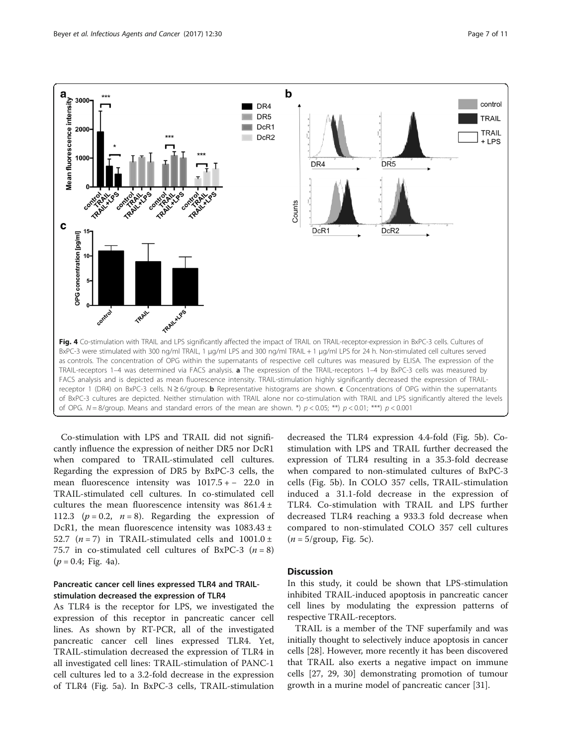<span id="page-6-0"></span>

Co-stimulation with LPS and TRAIL did not significantly influence the expression of neither DR5 nor DcR1 when compared to TRAIL-stimulated cell cultures. Regarding the expression of DR5 by BxPC-3 cells, the mean fluorescence intensity was 1017.5 + − 22.0 in TRAIL-stimulated cell cultures. In co-stimulated cell cultures the mean fluorescence intensity was  $861.4 \pm$ 112.3 ( $p = 0.2$ ,  $n = 8$ ). Regarding the expression of DcR1, the mean fluorescence intensity was  $1083.43 \pm$ 52.7  $(n = 7)$  in TRAIL-stimulated cells and 1001.0 ± 75.7 in co-stimulated cell cultures of BxPC-3  $(n = 8)$  $(p = 0.4;$  Fig. 4a).

## Pancreatic cancer cell lines expressed TLR4 and TRAILstimulation decreased the expression of TLR4

As TLR4 is the receptor for LPS, we investigated the expression of this receptor in pancreatic cancer cell lines. As shown by RT-PCR, all of the investigated pancreatic cancer cell lines expressed TLR4. Yet, TRAIL-stimulation decreased the expression of TLR4 in all investigated cell lines: TRAIL-stimulation of PANC-1 cell cultures led to a 3.2-fold decrease in the expression of TLR4 (Fig. [5a\)](#page-7-0). In BxPC-3 cells, TRAIL-stimulation decreased the TLR4 expression 4.4-fold (Fig. [5b\)](#page-7-0). Costimulation with LPS and TRAIL further decreased the expression of TLR4 resulting in a 35.3-fold decrease when compared to non-stimulated cultures of BxPC-3 cells (Fig. [5b\)](#page-7-0). In COLO 357 cells, TRAIL-stimulation induced a 31.1-fold decrease in the expression of TLR4. Co-stimulation with TRAIL and LPS further decreased TLR4 reaching a 933.3 fold decrease when compared to non-stimulated COLO 357 cell cultures  $(n = 5/\text{group}, \text{Fig. 5c}).$ 

## **Discussion**

In this study, it could be shown that LPS-stimulation inhibited TRAIL-induced apoptosis in pancreatic cancer cell lines by modulating the expression patterns of respective TRAIL-receptors.

TRAIL is a member of the TNF superfamily and was initially thought to selectively induce apoptosis in cancer cells [[28](#page-9-0)]. However, more recently it has been discovered that TRAIL also exerts a negative impact on immune cells [[27](#page-9-0), [29](#page-9-0), [30](#page-9-0)] demonstrating promotion of tumour growth in a murine model of pancreatic cancer [\[31](#page-9-0)].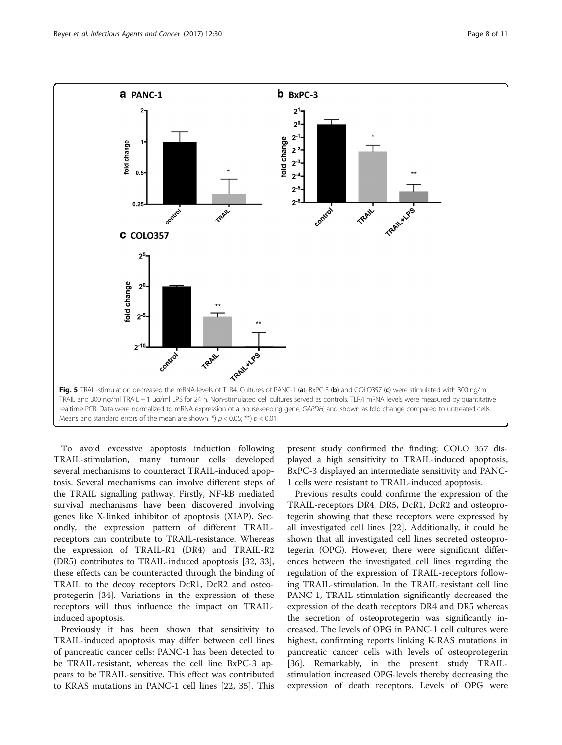<span id="page-7-0"></span>

To avoid excessive apoptosis induction following TRAIL-stimulation, many tumour cells developed several mechanisms to counteract TRAIL-induced apoptosis. Several mechanisms can involve different steps of the TRAIL signalling pathway. Firstly, NF-kB mediated survival mechanisms have been discovered involving genes like X-linked inhibitor of apoptosis (XIAP). Secondly, the expression pattern of different TRAILreceptors can contribute to TRAIL-resistance. Whereas the expression of TRAIL-R1 (DR4) and TRAIL-R2 (DR5) contributes to TRAIL-induced apoptosis [[32, 33](#page-9-0)], these effects can be counteracted through the binding of TRAIL to the decoy receptors DcR1, DcR2 and osteoprotegerin [[34\]](#page-9-0). Variations in the expression of these receptors will thus influence the impact on TRAILinduced apoptosis.

Previously it has been shown that sensitivity to TRAIL-induced apoptosis may differ between cell lines of pancreatic cancer cells: PANC-1 has been detected to be TRAIL-resistant, whereas the cell line BxPC-3 appears to be TRAIL-sensitive. This effect was contributed to KRAS mutations in PANC-1 cell lines [\[22](#page-9-0), [35](#page-9-0)]. This present study confirmed the finding: COLO 357 displayed a high sensitivity to TRAIL-induced apoptosis, BxPC-3 displayed an intermediate sensitivity and PANC-1 cells were resistant to TRAIL-induced apoptosis.

Previous results could confirme the expression of the TRAIL-receptors DR4, DR5, DcR1, DcR2 and osteoprotegerin showing that these receptors were expressed by all investigated cell lines [[22\]](#page-9-0). Additionally, it could be shown that all investigated cell lines secreted osteoprotegerin (OPG). However, there were significant differences between the investigated cell lines regarding the regulation of the expression of TRAIL-receptors following TRAIL-stimulation. In the TRAIL-resistant cell line PANC-1, TRAIL-stimulation significantly decreased the expression of the death receptors DR4 and DR5 whereas the secretion of osteoprotegerin was significantly increased. The levels of OPG in PANC-1 cell cultures were highest, confirming reports linking K-RAS mutations in pancreatic cancer cells with levels of osteoprotegerin [[36\]](#page-9-0). Remarkably, in the present study TRAILstimulation increased OPG-levels thereby decreasing the expression of death receptors. Levels of OPG were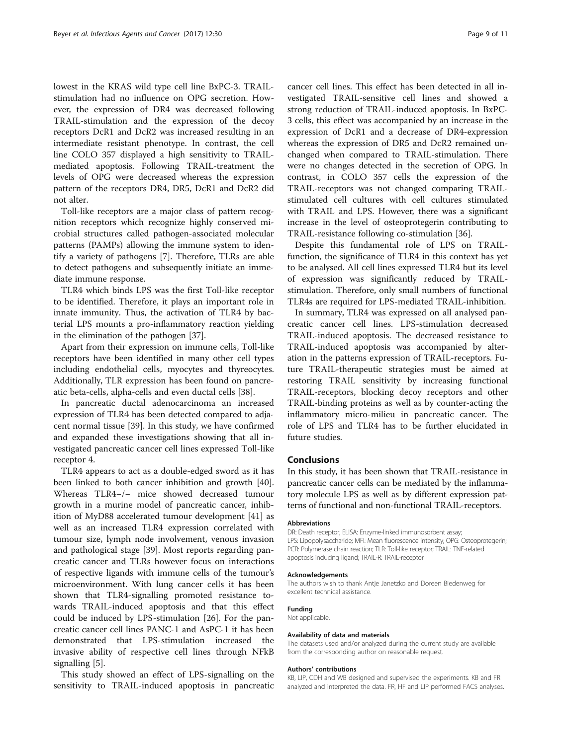lowest in the KRAS wild type cell line BxPC-3. TRAILstimulation had no influence on OPG secretion. However, the expression of DR4 was decreased following TRAIL-stimulation and the expression of the decoy receptors DcR1 and DcR2 was increased resulting in an intermediate resistant phenotype. In contrast, the cell line COLO 357 displayed a high sensitivity to TRAILmediated apoptosis. Following TRAIL-treatment the levels of OPG were decreased whereas the expression pattern of the receptors DR4, DR5, DcR1 and DcR2 did not alter.

Toll-like receptors are a major class of pattern recognition receptors which recognize highly conserved microbial structures called pathogen-associated molecular patterns (PAMPs) allowing the immune system to identify a variety of pathogens [\[7](#page-9-0)]. Therefore, TLRs are able to detect pathogens and subsequently initiate an immediate immune response.

TLR4 which binds LPS was the first Toll-like receptor to be identified. Therefore, it plays an important role in innate immunity. Thus, the activation of TLR4 by bacterial LPS mounts a pro-inflammatory reaction yielding in the elimination of the pathogen [\[37](#page-10-0)].

Apart from their expression on immune cells, Toll-like receptors have been identified in many other cell types including endothelial cells, myocytes and thyreocytes. Additionally, TLR expression has been found on pancreatic beta-cells, alpha-cells and even ductal cells [\[38](#page-10-0)].

In pancreatic ductal adenocarcinoma an increased expression of TLR4 has been detected compared to adjacent normal tissue [\[39](#page-10-0)]. In this study, we have confirmed and expanded these investigations showing that all investigated pancreatic cancer cell lines expressed Toll-like receptor 4.

TLR4 appears to act as a double-edged sword as it has been linked to both cancer inhibition and growth [\[40](#page-10-0)]. Whereas TLR4−/− mice showed decreased tumour growth in a murine model of pancreatic cancer, inhibition of MyD88 accelerated tumour development [[41\]](#page-10-0) as well as an increased TLR4 expression correlated with tumour size, lymph node involvement, venous invasion and pathological stage [[39](#page-10-0)]. Most reports regarding pancreatic cancer and TLRs however focus on interactions of respective ligands with immune cells of the tumour's microenvironment. With lung cancer cells it has been shown that TLR4-signalling promoted resistance towards TRAIL-induced apoptosis and that this effect could be induced by LPS-stimulation [[26\]](#page-9-0). For the pancreatic cancer cell lines PANC-1 and AsPC-1 it has been demonstrated that LPS-stimulation increased the invasive ability of respective cell lines through NFkB signalling [\[5](#page-9-0)].

This study showed an effect of LPS-signalling on the sensitivity to TRAIL-induced apoptosis in pancreatic

cancer cell lines. This effect has been detected in all investigated TRAIL-sensitive cell lines and showed a strong reduction of TRAIL-induced apoptosis. In BxPC-3 cells, this effect was accompanied by an increase in the expression of DcR1 and a decrease of DR4-expression whereas the expression of DR5 and DcR2 remained unchanged when compared to TRAIL-stimulation. There were no changes detected in the secretion of OPG. In contrast, in COLO 357 cells the expression of the TRAIL-receptors was not changed comparing TRAILstimulated cell cultures with cell cultures stimulated with TRAIL and LPS. However, there was a significant increase in the level of osteoprotegerin contributing to TRAIL-resistance following co-stimulation [[36\]](#page-9-0).

Despite this fundamental role of LPS on TRAILfunction, the significance of TLR4 in this context has yet to be analysed. All cell lines expressed TLR4 but its level of expression was significantly reduced by TRAILstimulation. Therefore, only small numbers of functional TLR4s are required for LPS-mediated TRAIL-inhibition.

In summary, TLR4 was expressed on all analysed pancreatic cancer cell lines. LPS-stimulation decreased TRAIL-induced apoptosis. The decreased resistance to TRAIL-induced apoptosis was accompanied by alteration in the patterns expression of TRAIL-receptors. Future TRAIL-therapeutic strategies must be aimed at restoring TRAIL sensitivity by increasing functional TRAIL-receptors, blocking decoy receptors and other TRAIL-binding proteins as well as by counter-acting the inflammatory micro-milieu in pancreatic cancer. The role of LPS and TLR4 has to be further elucidated in future studies.

#### Conclusions

In this study, it has been shown that TRAIL-resistance in pancreatic cancer cells can be mediated by the inflammatory molecule LPS as well as by different expression patterns of functional and non-functional TRAIL-receptors.

#### Abbreviations

DR: Death receptor; ELISA: Enzyme-linked immunosorbent assay; LPS: Lipopolysaccharide; MFI: Mean fluorescence intensity; OPG: Osteoprotegerin; PCR: Polymerase chain reaction; TLR: Toll-like receptor; TRAIL: TNF-related apoptosis inducing ligand; TRAIL-R: TRAIL-receptor

#### Acknowledgements

The authors wish to thank Antje Janetzko and Doreen Biedenweg for excellent technical assistance.

#### Funding

Not applicable.

#### Availability of data and materials

The datasets used and/or analyzed during the current study are available from the corresponding author on reasonable request.

#### Authors' contributions

KB, LIP, CDH and WB designed and supervised the experiments. KB and FR analyzed and interpreted the data. FR, HF and LIP performed FACS analyses.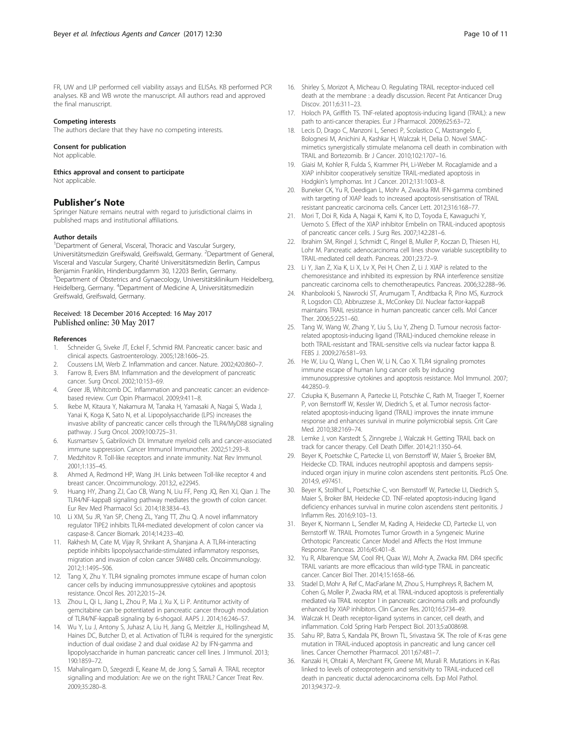<span id="page-9-0"></span>FR, UW and LIP performed cell viability assays and ELISAs. KB performed PCR analyses. KB and WB wrote the manuscript. All authors read and approved the final manuscript.

#### Competing interests

The authors declare that they have no competing interests.

#### Consent for publication

Not applicable.

Ethics approval and consent to participate Not applicable.

#### Publisher's Note

Springer Nature remains neutral with regard to jurisdictional claims in published maps and institutional affiliations.

#### Author details

<sup>1</sup>Department of General, Visceral, Thoracic and Vascular Surgery, Universitätsmedizin Greifswald, Greifswald, Germany. <sup>2</sup>Department of General, Visceral and Vascular Surgery, Charité Universitätsmedizin Berlin, Campus Benjamin Franklin, Hindenburgdamm 30, 12203 Berlin, Germany. 3 Department of Obstetrics and Gynaecology, Universitätsklinikum Heidelberg, Heidelberg, Germany. <sup>4</sup> Department of Medicine A, Universitätsmedizin Greifswald, Greifswald, Germany.

## Received: 18 December 2016 Accepted: 16 May 2017 Published online: 30 May 2017

#### References

- 1. Schneider G, Siveke JT, Eckel F, Schmid RM. Pancreatic cancer: basic and clinical aspects. Gastroenterology. 2005;128:1606–25.
- 2. Coussens LM, Werb Z. Inflammation and cancer. Nature. 2002;420:860–7. 3. Farrow B, Evers BM. Inflammation and the development of pancreatic
- cancer. Surg Oncol. 2002;10:153–69. 4. Greer JB, Whitcomb DC. Inflammation and pancreatic cancer: an evidencebased review. Curr Opin Pharmacol. 2009;9:411–8.
- 5. Ikebe M, Kitaura Y, Nakamura M, Tanaka H, Yamasaki A, Nagai S, Wada J, Yanai K, Koga K, Sato N, et al. Lipopolysaccharide (LPS) increases the invasive ability of pancreatic cancer cells through the TLR4/MyD88 signaling pathway. J Surg Oncol. 2009;100:725–31.
- 6. Kusmartsev S, Gabrilovich DI. Immature myeloid cells and cancer-associated immune suppression. Cancer Immunol Immunother. 2002;51:293–8.
- 7. Medzhitov R. Toll-like receptors and innate immunity. Nat Rev Immunol. 2001;1:135–45.
- 8. Ahmed A, Redmond HP, Wang JH. Links between Toll-like receptor 4 and breast cancer. Oncoimmunology. 2013;2, e22945.
- Huang HY, Zhang ZJ, Cao CB, Wang N, Liu FF, Peng JQ, Ren XJ, Qian J. The TLR4/NF-kappaB signaling pathway mediates the growth of colon cancer. Eur Rev Med Pharmacol Sci. 2014;18:3834–43.
- 10. Li XM, Su JR, Yan SP, Cheng ZL, Yang TT, Zhu Q. A novel inflammatory regulator TIPE2 inhibits TLR4-mediated development of colon cancer via caspase-8. Cancer Biomark. 2014;14:233–40.
- 11. Rakhesh M, Cate M, Vijay R, Shrikant A, Shanjana A. A TLR4-interacting peptide inhibits lipopolysaccharide-stimulated inflammatory responses, migration and invasion of colon cancer SW480 cells. Oncoimmunology. 2012;1:1495–506.
- 12. Tang X, Zhu Y. TLR4 signaling promotes immune escape of human colon cancer cells by inducing immunosuppressive cytokines and apoptosis resistance. Oncol Res. 2012;20:15–24.
- 13. Zhou L, Qi L, Jiang L, Zhou P, Ma J, Xu X, Li P. Antitumor activity of gemcitabine can be potentiated in pancreatic cancer through modulation of TLR4/NF-kappaB signaling by 6-shogaol. AAPS J. 2014;16:246–57.
- 14. Wu Y, Lu J, Antony S, Juhasz A, Liu H, Jiang G, Meitzler JL, Hollingshead M, Haines DC, Butcher D, et al. Activation of TLR4 is required for the synergistic induction of dual oxidase 2 and dual oxidase A2 by IFN-gamma and lipopolysaccharide in human pancreatic cancer cell lines. J Immunol. 2013; 190:1859–72.
- 15. Mahalingam D, Szegezdi E, Keane M, de Jong S, Samali A. TRAIL receptor signalling and modulation: Are we on the right TRAIL? Cancer Treat Rev. 2009;35:280–8.
- 16. Shirley S, Morizot A, Micheau O. Regulating TRAIL receptor-induced cell death at the membrane : a deadly discussion. Recent Pat Anticancer Drug Discov. 2011;6:311–23.
- 17. Holoch PA, Griffith TS. TNF-related apoptosis-inducing ligand (TRAIL): a new path to anti-cancer therapies. Eur J Pharmacol. 2009;625:63–72.
- 18. Lecis D, Drago C, Manzoni L, Seneci P, Scolastico C, Mastrangelo E, Bolognesi M, Anichini A, Kashkar H, Walczak H, Delia D. Novel SMACmimetics synergistically stimulate melanoma cell death in combination with TRAIL and Bortezomib. Br J Cancer. 2010;102:1707–16.
- 19. Giaisi M, Kohler R, Fulda S, Krammer PH, Li-Weber M. Rocaglamide and a XIAP inhibitor cooperatively sensitize TRAIL-mediated apoptosis in Hodgkin's lymphomas. Int J Cancer. 2012;131:1003–8.
- 20. Buneker CK, Yu R, Deedigan L, Mohr A, Zwacka RM. IFN-gamma combined with targeting of XIAP leads to increased apoptosis-sensitisation of TRAIL resistant pancreatic carcinoma cells. Cancer Lett. 2012;316:168–77.
- 21. Mori T, Doi R, Kida A, Nagai K, Kami K, Ito D, Toyoda E, Kawaguchi Y, Uemoto S. Effect of the XIAP inhibitor Embelin on TRAIL-induced apoptosis of pancreatic cancer cells. J Surg Res. 2007;142:281–6.
- 22. Ibrahim SM, Ringel J, Schmidt C, Ringel B, Muller P, Koczan D, Thiesen HJ, Lohr M. Pancreatic adenocarcinoma cell lines show variable susceptibility to TRAIL-mediated cell death. Pancreas. 2001;23:72–9.
- 23. Li Y, Jian Z, Xia K, Li X, Lv X, Pei H, Chen Z, Li J. XIAP is related to the chemoresistance and inhibited its expression by RNA interference sensitize pancreatic carcinoma cells to chemotherapeutics. Pancreas. 2006;32:288–96.
- 24. Khanbolooki S, Nawrocki ST, Arumugam T, Andtbacka R, Pino MS, Kurzrock R, Logsdon CD, Abbruzzese JL, McConkey DJ. Nuclear factor-kappaB maintains TRAIL resistance in human pancreatic cancer cells. Mol Cancer Ther. 2006;5:2251–60.
- 25. Tang W, Wang W, Zhang Y, Liu S, Liu Y, Zheng D. Tumour necrosis factorrelated apoptosis-inducing ligand (TRAIL)-induced chemokine release in both TRAIL-resistant and TRAIL-sensitive cells via nuclear factor kappa B. FEBS J. 2009;276:581–93.
- 26. He W, Liu Q, Wang L, Chen W, Li N, Cao X. TLR4 signaling promotes immune escape of human lung cancer cells by inducing immunosuppressive cytokines and apoptosis resistance. Mol Immunol. 2007; 44:2850–9.
- 27. Cziupka K, Busemann A, Partecke LI, Potschke C, Rath M, Traeger T, Koerner P, von Bernstorff W, Kessler W, Diedrich S, et al. Tumor necrosis factorrelated apoptosis-inducing ligand (TRAIL) improves the innate immune response and enhances survival in murine polymicrobial sepsis. Crit Care Med. 2010;38:2169–74.
- 28. Lemke J, von Karstedt S, Zinngrebe J, Walczak H. Getting TRAIL back on track for cancer therapy. Cell Death Differ. 2014;21:1350–64.
- 29. Beyer K, Poetschke C, Partecke LI, von Bernstorff W, Maier S, Broeker BM, Heidecke CD. TRAIL induces neutrophil apoptosis and dampens sepsisinduced organ injury in murine colon ascendens stent peritonitis. PLoS One. 2014;9, e97451.
- 30. Beyer K, Stollhof L, Poetschke C, von Bernstorff W, Partecke LI, Diedrich S, Maier S, Broker BM, Heidecke CD. TNF-related apoptosis-inducing ligand deficiency enhances survival in murine colon ascendens stent peritonitis. J Inflamm Res. 2016;9:103–13.
- 31. Beyer K, Normann L, Sendler M, Kading A, Heidecke CD, Partecke LI, von Bernstorff W. TRAIL Promotes Tumor Growth in a Syngeneic Murine Orthotopic Pancreatic Cancer Model and Affects the Host Immune Response. Pancreas. 2016;45:401–8.
- 32. Yu R, Albarenque SM, Cool RH, Quax WJ, Mohr A, Zwacka RM. DR4 specific TRAIL variants are more efficacious than wild-type TRAIL in pancreatic cancer. Cancer Biol Ther. 2014;15:1658–66.
- 33. Stadel D, Mohr A, Ref C, MacFarlane M, Zhou S, Humphreys R, Bachem M, Cohen G, Moller P, Zwacka RM, et al. TRAIL-induced apoptosis is preferentially mediated via TRAIL receptor 1 in pancreatic carcinoma cells and profoundly enhanced by XIAP inhibitors. Clin Cancer Res. 2010;16:5734–49.
- 34. Walczak H. Death receptor-ligand systems in cancer, cell death, and inflammation. Cold Spring Harb Perspect Biol. 2013;5:a008698.
- 35. Sahu RP, Batra S, Kandala PK, Brown TL, Srivastava SK. The role of K-ras gene mutation in TRAIL-induced apoptosis in pancreatic and lung cancer cell lines. Cancer Chemother Pharmacol. 2011;67:481–7.
- 36. Kanzaki H, Ohtaki A, Merchant FK, Greene MI, Murali R. Mutations in K-Ras linked to levels of osteoprotegerin and sensitivity to TRAIL-induced cell death in pancreatic ductal adenocarcinoma cells. Exp Mol Pathol. 2013;94:372–9.